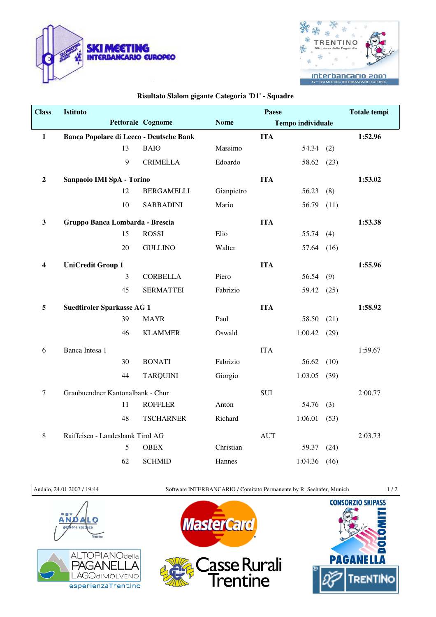



## **Risultato Slalom gigante Categoria 'D1' - Squadre**

| <b>Class</b>     | <b>Istituto</b>                         |                                   |             | Paese      |                          |      | <b>Totale tempi</b> |
|------------------|-----------------------------------------|-----------------------------------|-------------|------------|--------------------------|------|---------------------|
|                  |                                         | Pettorale Cognome                 | <b>Nome</b> |            | <b>Tempo individuale</b> |      |                     |
| $\mathbf{1}$     | Banca Popolare di Lecco - Deutsche Bank |                                   |             | <b>ITA</b> |                          |      | 1:52.96             |
|                  | 13                                      | <b>BAIO</b>                       | Massimo     |            | 54.34                    | (2)  |                     |
|                  | 9                                       | <b>CRIMELLA</b>                   | Edoardo     |            | 58.62                    | (23) |                     |
| $\boldsymbol{2}$ | Sanpaolo IMI SpA - Torino               |                                   |             | <b>ITA</b> |                          |      | 1:53.02             |
|                  | 12                                      | <b>BERGAMELLI</b>                 | Gianpietro  |            | 56.23                    | (8)  |                     |
|                  | 10                                      | <b>SABBADINI</b>                  | Mario       |            | 56.79                    | (11) |                     |
| $\mathbf{3}$     | Gruppo Banca Lombarda - Brescia         |                                   |             | <b>ITA</b> |                          |      | 1:53.38             |
|                  | 15                                      | <b>ROSSI</b>                      | Elio        |            | 55.74                    | (4)  |                     |
|                  | 20                                      | <b>GULLINO</b>                    | Walter      |            | 57.64                    | (16) |                     |
| 4                | <b>UniCredit Group 1</b>                |                                   |             | <b>ITA</b> |                          |      | 1:55.96             |
|                  | 3                                       | <b>CORBELLA</b>                   | Piero       |            | 56.54                    | (9)  |                     |
|                  | 45                                      | <b>SERMATTEI</b>                  | Fabrizio    |            | 59.42                    | (25) |                     |
| 5                |                                         | <b>Suedtiroler Sparkasse AG 1</b> |             | <b>ITA</b> |                          |      | 1:58.92             |
|                  | 39                                      | <b>MAYR</b>                       | Paul        |            | 58.50                    | (21) |                     |
|                  | 46                                      | <b>KLAMMER</b>                    | Oswald      |            | 1:00.42                  | (29) |                     |
| 6                | Banca Intesa 1                          |                                   |             | <b>ITA</b> |                          |      | 1:59.67             |
|                  | 30                                      | <b>BONATI</b>                     | Fabrizio    |            | 56.62                    | (10) |                     |
|                  | 44                                      | <b>TARQUINI</b>                   | Giorgio     |            | 1:03.05                  | (39) |                     |
| $\tau$           | Graubuendner Kantonalbank - Chur        |                                   |             | <b>SUI</b> |                          |      | 2:00.77             |
|                  | 11                                      | <b>ROFFLER</b>                    | Anton       |            | 54.76                    | (3)  |                     |
|                  | 48                                      | <b>TSCHARNER</b>                  | Richard     |            | 1:06.01                  | (53) |                     |
| 8                | Raiffeisen - Landesbank Tirol AG        |                                   |             | <b>AUT</b> |                          |      | 2:03.73             |
|                  | 5                                       | <b>OBEX</b>                       | Christian   |            | 59.37                    | (24) |                     |
|                  | 62                                      | <b>SCHMID</b>                     | Hannes      |            | 1:04.36                  | (46) |                     |

Andalo, 24.01.2007 / 19:44 Software INTERBANCARIO / Comitato Permanente by R. Seehafer, Munich 1 / 2